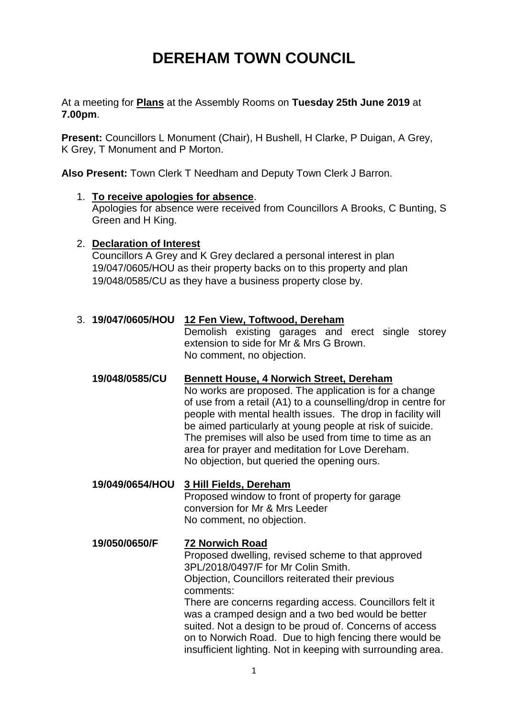# **DEREHAM TOWN COUNCIL**

At a meeting for **Plans** at the Assembly Rooms on **Tuesday 25th June 2019** at **7.00pm**.

**Present:** Councillors L Monument (Chair), H Bushell, H Clarke, P Duigan, A Grey, K Grey, T Monument and P Morton.

**Also Present:** Town Clerk T Needham and Deputy Town Clerk J Barron.

#### 1. **To receive apologies for absence**.

Apologies for absence were received from Councillors A Brooks, C Bunting, S Green and H King.

# 2. **Declaration of Interest**

Councillors A Grey and K Grey declared a personal interest in plan 19/047/0605/HOU as their property backs on to this property and plan 19/048/0585/CU as they have a business property close by.

# 3. **19/047/0605/HOU 12 Fen View, Toftwood, Dereham**

Demolish existing garages and erect single storey extension to side for Mr & Mrs G Brown. No comment, no objection.

**19/048/0585/CU Bennett House, 4 Norwich Street, Dereham** No works are proposed. The application is for a change of use from a retail (A1) to a counselling/drop in centre for people with mental health issues. The drop in facility will be aimed particularly at young people at risk of suicide. The premises will also be used from time to time as an area for prayer and meditation for Love Dereham. No objection, but queried the opening ours.

# **19/049/0654/HOU 3 Hill Fields, Dereham**

Proposed window to front of property for garage conversion for Mr & Mrs Leeder No comment, no objection.

insufficient lighting. Not in keeping with surrounding area.

#### **19/050/0650/F 72 Norwich Road** Proposed dwelling, revised scheme to that approved 3PL/2018/0497/F for Mr Colin Smith. Objection, Councillors reiterated their previous comments: There are concerns regarding access. Councillors felt it was a cramped design and a two bed would be better suited. Not a design to be proud of. Concerns of access on to Norwich Road. Due to high fencing there would be